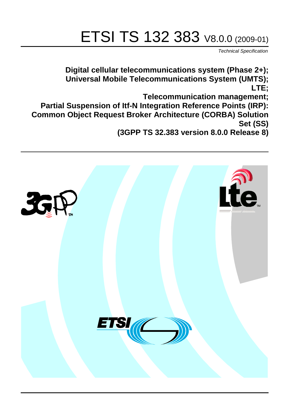# ETSI TS 132 383 V8.0.0 (2009-01)

*Technical Specification*

**Digital cellular telecommunications system (Phase 2+); Universal Mobile Telecommunications System (UMTS); LTE; Telecommunication management; Partial Suspension of Itf-N Integration Reference Points (IRP): Common Object Request Broker Architecture (CORBA) Solution Set (SS) (3GPP TS 32.383 version 8.0.0 Release 8)**

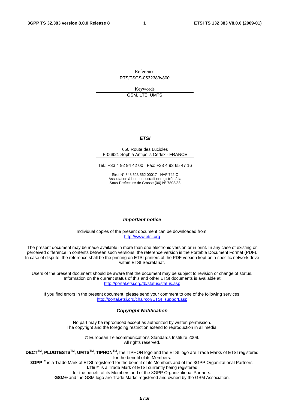Reference RTS/TSGS-0532383v800

Keywords

GSM, LTE, UMTS

#### *ETSI*

#### 650 Route des Lucioles F-06921 Sophia Antipolis Cedex - FRANCE

Tel.: +33 4 92 94 42 00 Fax: +33 4 93 65 47 16

Siret N° 348 623 562 00017 - NAF 742 C Association à but non lucratif enregistrée à la Sous-Préfecture de Grasse (06) N° 7803/88

#### *Important notice*

Individual copies of the present document can be downloaded from: [http://www.etsi.org](http://www.etsi.org/)

The present document may be made available in more than one electronic version or in print. In any case of existing or perceived difference in contents between such versions, the reference version is the Portable Document Format (PDF). In case of dispute, the reference shall be the printing on ETSI printers of the PDF version kept on a specific network drive within ETSI Secretariat.

Users of the present document should be aware that the document may be subject to revision or change of status. Information on the current status of this and other ETSI documents is available at <http://portal.etsi.org/tb/status/status.asp>

If you find errors in the present document, please send your comment to one of the following services: [http://portal.etsi.org/chaircor/ETSI\\_support.asp](http://portal.etsi.org/chaircor/ETSI_support.asp)

#### *Copyright Notification*

No part may be reproduced except as authorized by written permission. The copyright and the foregoing restriction extend to reproduction in all media.

> © European Telecommunications Standards Institute 2009. All rights reserved.

**DECT**TM, **PLUGTESTS**TM, **UMTS**TM, **TIPHON**TM, the TIPHON logo and the ETSI logo are Trade Marks of ETSI registered for the benefit of its Members.

**3GPP**TM is a Trade Mark of ETSI registered for the benefit of its Members and of the 3GPP Organizational Partners. **LTE**™ is a Trade Mark of ETSI currently being registered

for the benefit of its Members and of the 3GPP Organizational Partners.

**GSM**® and the GSM logo are Trade Marks registered and owned by the GSM Association.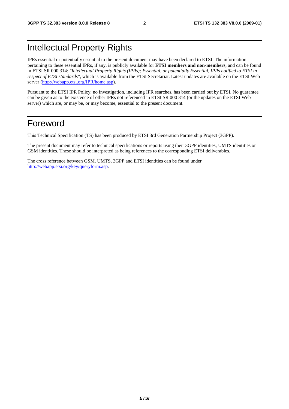# Intellectual Property Rights

IPRs essential or potentially essential to the present document may have been declared to ETSI. The information pertaining to these essential IPRs, if any, is publicly available for **ETSI members and non-members**, and can be found in ETSI SR 000 314: *"Intellectual Property Rights (IPRs); Essential, or potentially Essential, IPRs notified to ETSI in respect of ETSI standards"*, which is available from the ETSI Secretariat. Latest updates are available on the ETSI Web server [\(http://webapp.etsi.org/IPR/home.asp](http://webapp.etsi.org/IPR/home.asp)).

Pursuant to the ETSI IPR Policy, no investigation, including IPR searches, has been carried out by ETSI. No guarantee can be given as to the existence of other IPRs not referenced in ETSI SR 000 314 (or the updates on the ETSI Web server) which are, or may be, or may become, essential to the present document.

### Foreword

This Technical Specification (TS) has been produced by ETSI 3rd Generation Partnership Project (3GPP).

The present document may refer to technical specifications or reports using their 3GPP identities, UMTS identities or GSM identities. These should be interpreted as being references to the corresponding ETSI deliverables.

The cross reference between GSM, UMTS, 3GPP and ETSI identities can be found under <http://webapp.etsi.org/key/queryform.asp>.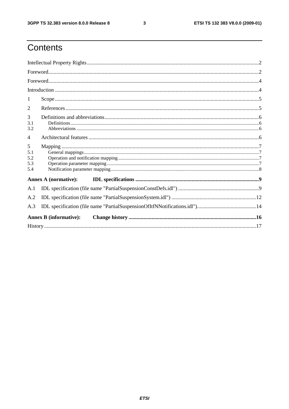$\mathbf{3}$ 

# Contents

| 1                             |  |
|-------------------------------|--|
| 2                             |  |
| 3<br>3.1<br>3.2               |  |
| $\overline{4}$                |  |
| 5<br>5.1<br>5.2<br>5.3<br>5.4 |  |
| Annex A (normative):          |  |
| A.1                           |  |
| A.2                           |  |
| A.3                           |  |
| <b>Annex B</b> (informative): |  |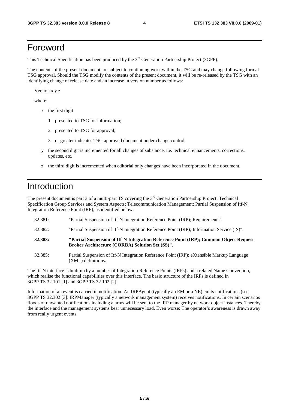### Foreword

This Technical Specification has been produced by the 3<sup>rd</sup> Generation Partnership Project (3GPP).

The contents of the present document are subject to continuing work within the TSG and may change following formal TSG approval. Should the TSG modify the contents of the present document, it will be re-released by the TSG with an identifying change of release date and an increase in version number as follows:

Version x.y.z

where:

- x the first digit:
	- 1 presented to TSG for information;
	- 2 presented to TSG for approval;
	- 3 or greater indicates TSG approved document under change control.
- y the second digit is incremented for all changes of substance, i.e. technical enhancements, corrections, updates, etc.
- z the third digit is incremented when editorial only changes have been incorporated in the document.

### Introduction

The present document is part 3 of a multi-part TS covering the 3<sup>rd</sup> Generation Partnership Project: Technical Specification Group Services and System Aspects; Telecommunication Management; Partial Suspension of Itf-N Integration Reference Point (IRP), as identified below:

- 32.381: "Partial Suspension of Itf-N Integration Reference Point (IRP); Requirements".
- 32.382: "Partial Suspension of Itf-N Integration Reference Point (IRP); Information Service (IS)".
- **32.383: "Partial Suspension of Itf-N Integration Reference Point (IRP); Common Object Request Broker Architecture (CORBA) Solution Set (SS)".**
- 32.385: Partial Suspension of Itf-N Integration Reference Point (IRP); eXtensible Markup Language (XML) definitions.

The Itf-N interface is built up by a number of Integration Reference Points (IRPs) and a related Name Convention, which realise the functional capabilities over this interface. The basic structure of the IRPs is defined in 3GPP TS 32.101 [1] and 3GPP TS 32.102 [2].

Information of an event is carried in notification. An IRPAgent (typically an EM or a NE) emits notifications (see 3GPP TS 32.302 [3]. IRPManager (typically a network management system) receives notifications. In certain scenarios floods of unwanted notifications including alarms will be sent to the IRP manager by network object instances. Thereby the interface and the management systems bear unnecessary load. Even worse: The operator's awareness is drawn away from really urgent events.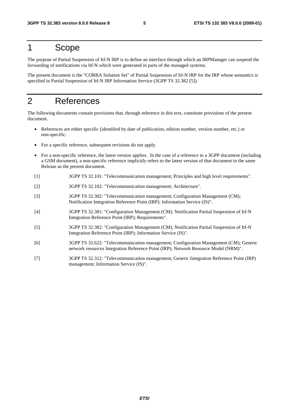### 1 Scope

The purpose of Partial Suspension of Itf-N IRP is to define an interface through which an IRPManager can suspend the forwarding of notifications via Itf-N which were generated in parts of the managed systems.

The present document is the "CORBA Solution Set" of Partial Suspension of Itf-N IRP for the IRP whose semantics is specified in Partial Suspension of Itf-N IRP Information Service (3GPP TS 32.382 [5]).

# 2 References

The following documents contain provisions that, through reference in this text, constitute provisions of the present document.

- References are either specific (identified by date of publication, edition number, version number, etc.) or non-specific.
- For a specific reference, subsequent revisions do not apply.
- For a non-specific reference, the latest version applies. In the case of a reference to a 3GPP document (including a GSM document), a non-specific reference implicitly refers to the latest version of that document in the same Release as the present document.
- [1] 3GPP TS 32.101: "Telecommunication management; Principles and high level requirements".
- [2] 3GPP TS 32.102: "Telecommunication management; Architecture".
- [3] 3GPP TS 32.302: "Telecommunication management; Configuration Management (CM); Notification Integration Reference Point (IRP): Information Service (IS)".
- [4] 3GPP TS 32.381: "Configuration Management (CM); Notification Partial Suspension of Itf-N Integration Reference Point (IRP); Requirements".
- [5] 3GPP TS 32.382: "Configuration Management (CM); Notification Partial Suspension of Itf-N Integration Reference Point (IRP); Information Service (IS)".
- [6] 3GPP TS 32.622: "Telecommunication management; Configuration Management (CM); Generic network resources Integration Reference Point (IRP); Network Resource Model (NRM)".
- [7] 3GPP TS 32.312: "Telecommunication management; Generic Integration Reference Point (IRP) management; Information Service (IS)".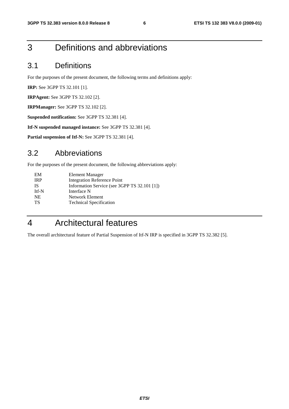# 3 Definitions and abbreviations

#### 3.1 Definitions

For the purposes of the present document, the following terms and definitions apply:

**IRP:** See 3GPP TS 32.101 [1].

**IRPAgent:** See 3GPP TS 32.102 [2].

**IRPManager:** See 3GPP TS 32.102 [2].

**Suspended notification:** See 3GPP TS 32.381 [4].

**Itf-N suspended managed instance:** See 3GPP TS 32.381 [4].

**Partial suspension of Itf-N:** See 3GPP TS 32.381 [4].

#### 3.2 Abbreviations

For the purposes of the present document, the following abbreviations apply:

| Information Service (see 3GPP TS 32.101 [1]) |
|----------------------------------------------|
|                                              |
|                                              |
|                                              |
|                                              |

# 4 Architectural features

The overall architectural feature of Partial Suspension of Itf-N IRP is specified in 3GPP TS 32.382 [5].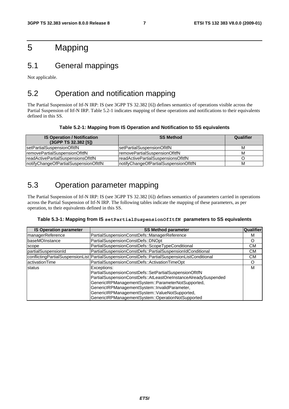# 5 Mapping

#### 5.1 General mappings

Not applicable.

### 5.2 Operation and notification mapping

The Partial Suspension of Itf-N IRP: IS (see 3GPP TS 32.382 [6]) defines semantics of operations visible across the Partial Suspension of Itf-N IRP. Table 5.2-1 indicates mapping of these operations and notifications to their equivalents defined in this SS.

#### **Table 5.2-1: Mapping from IS Operation and Notification to SS equivalents**

| <b>IS Operation / Notification</b><br>(3GPP TS 32.382 [5]) | <b>SS Method</b>                       | Qualifier |
|------------------------------------------------------------|----------------------------------------|-----------|
| setPartialSuspensionOfItfN                                 | IsetPartialSuspensionOfItfN            | M         |
| removePartialSuspensionOfItfN                              | IremovePartialSuspensionOfItfN         | M         |
| readActivePartialSuspensionsOfItfN                         | IreadActivePartialSuspensionsOfItfN    |           |
| notifyChangeOfPartialSuspensionOfItfN                      | InotifyChangeOfPartialSuspensionOfItfN | M         |

### 5.3 Operation parameter mapping

The Partial Suspension of Itf-N IRP: IS (see 3GPP TS 32.382 [6]) defines semantics of parameters carried in operations across the Partial Suspension of Itf-N IRP. The following tables indicate the mapping of these parameters, as per operation, to their equivalents defined in this SS.

#### **Table 5.3-1: Mapping from IS setPartialSuspensionOfItfN parameters to SS equivalents**

| <b>IS Operation parameter</b> | <b>SS Method parameter</b>                                                                                                                                                                                                                                                                                                                            | Qualifier |
|-------------------------------|-------------------------------------------------------------------------------------------------------------------------------------------------------------------------------------------------------------------------------------------------------------------------------------------------------------------------------------------------------|-----------|
| managerReference              | PartialSuspensionConstDefs::ManagerReference                                                                                                                                                                                                                                                                                                          | м         |
| baseMOInstance                | PartialSuspensionConstDefs::DNOpt                                                                                                                                                                                                                                                                                                                     | O         |
| scope                         | PartialSuspensionConstDefs::ScopeTypeConditional                                                                                                                                                                                                                                                                                                      | CМ        |
| partialSuspensionId           | PartialSuspensionConstDefs::PartialSuspensionIdConditional                                                                                                                                                                                                                                                                                            | CМ        |
|                               | conflictingPartialSuspensionList   PartialSuspensionConstDefs::PartialSuspensionListConditional                                                                                                                                                                                                                                                       | CМ        |
| activationTime                | PartialSuspensionConstDefs::ActivationTimeOpt                                                                                                                                                                                                                                                                                                         | O         |
| status                        | Exceptions:<br>PartialSuspensionConstDefs::SetPartialSuspensionOfItfN<br>PartialSuspensionConstDefs::AtLeastOneInstanceAlreadySuspended<br>GenericIRPManagementSystem::ParameterNotSupported,<br>GenericIRPManagementSystem::InvalidParameter,<br>GenericIRPManagementSystem::ValueNotSupported,<br>GenericIRPManagementSystem::OperationNotSupported | M         |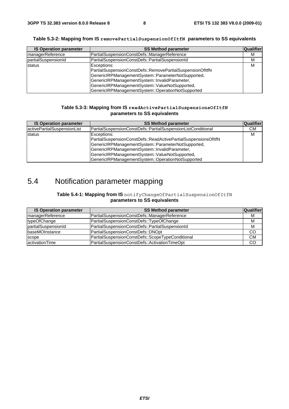|  | Table 5.3-2: Mapping from IS ${\tt removePartials}$ uspen ${\tt sionOfItfN}$ parameters to SS equivalents |  |
|--|-----------------------------------------------------------------------------------------------------------|--|
|--|-----------------------------------------------------------------------------------------------------------|--|

| <b>IS Operation parameter</b> | <b>SS Method parameter</b>                                                                                                                                                                                                                                                             | Qualifier |
|-------------------------------|----------------------------------------------------------------------------------------------------------------------------------------------------------------------------------------------------------------------------------------------------------------------------------------|-----------|
| managerReference              | PartialSuspensionConstDefs::ManagerReference                                                                                                                                                                                                                                           | м         |
| partialSuspensionId           | PartialSuspensionConstDefs::PartialSuspensionId                                                                                                                                                                                                                                        | M         |
| status                        | Exceptions:<br>PartialSuspensionConstDefs::RemovePartialSuspensionOfItfN<br>GenericIRPManagementSystem::ParameterNotSupported,<br>GenericIRPManagementSystem::InvalidParameter,<br>GenericIRPManagementSystem::ValueNotSupported,<br>GenericIRPManagementSystem::OperationNotSupported | м         |

#### **Table 5.3-3: Mapping from IS readActivePartialSuspensionsOfItfN parameters to SS equivalents**

| <b>IS Operation parameter</b> | <b>SS Method parameter</b>                                                                                                                                                                                                                                                                  | <b>Qualifier</b> |
|-------------------------------|---------------------------------------------------------------------------------------------------------------------------------------------------------------------------------------------------------------------------------------------------------------------------------------------|------------------|
| activePartialSuspensionList   | PartialSuspensionConstDefs::PartialSuspensionListConditional                                                                                                                                                                                                                                | CМ               |
| status                        | Exceptions:<br>PartialSuspensionConstDefs::ReadActivePartialSuspensionsOfItfN<br>GenericIRPManagementSystem::ParameterNotSupported,<br>GenericIRPManagementSystem::InvalidParameter,<br>GenericIRPManagementSystem::ValueNotSupported,<br>GenericIRPManagementSystem::OperationNotSupported | м                |

# 5.4 Notification parameter mapping

#### **Table 5.4-1: Mapping from IS** notifyChangeOfPartialSuspensionOfItfN **parameters to SS equivalents**

| <b>IS Operation parameter</b> | <b>SS Method parameter</b>                       | <b>Qualifier</b> |
|-------------------------------|--------------------------------------------------|------------------|
| managerReference              | PartialSuspensionConstDefs::ManagerReference     | M                |
| typeOfChange                  | PartialSuspensionConstDefs::TypeOfChange         | M                |
| partialSuspensionId           | PartialSuspensionConstDefs::PartialSuspensionId  | M                |
| <b>baseMOInstance</b>         | PartialSuspensionConstDefs::DNOpt                | CO               |
| scope                         | PartialSuspensionConstDefs::ScopeTypeConditional | <b>CM</b>        |
| activationTime                | PartialSuspensionConstDefs::ActivationTimeOpt    | CO               |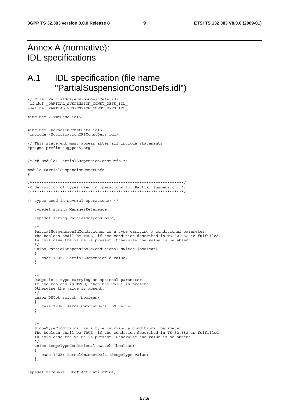# Annex A (normative): IDL specifications

// File: PartialSuspensionConstDefs.idl

## A.1 IDL specification (file name "PartialSuspensionConstDefs.idl")

```
#ifndef _PARTIAL_SUSPENSION_CONST_DEFS_IDL_ 
#define _PARTIAL_SUSPENSION_CONST_DEFS_IDL_ 
#include <TimeBase.idl> 
#include <KernelCmConstDefs.idl> 
#include <NotificationIRPConstDefs.idl> 
// This statement must appear after all include statements 
#pragma prefix "3gppsa5.org" 
/* ## Module: PartialSuspensionConstDefs */ 
module PartialSuspensionConstDefs 
{ 
/******************************************************************/ 
/* definition of types used in operations for Partial Suspension: */ 
/******************************************************************/ 
/* types used in several operations: */ 
    typedef string ManagerReference; 
    typedef string PartialSuspensionId; 
/*
    PartialSuspensionIdConditional is a type carrying a conditional parameter. 
    The boolean shall be TRUE, if the condition described in TS 32.382 is fulfilled. 
    In this case the value is present. Otherwise the value is be absent. 
    */ 
   union PartialSuspensionIdConditional switch (boolean) 
    { 
       case TRUE: PartialSuspensionId value; 
    }; 
/*
   DNOpt is a type carrying an optional parameter. 
    If the boolean is TRUE, then the value is present. 
    Otherwise the value is absent. 
    */ 
   union DNOpt switch (boolean) 
    { 
       case TRUE: KernelCmConstDefs::DN value; 
    }; 
/*
    ScopeTypeConditional is a type carrying a conditional parameter. 
    The boolean shall be TRUE, if the condition described in TS 32.382 is fulfilled. 
    In this case the value is present. Otherwise the value is be absent. 
    */ 
   union ScopeTypeConditional switch (boolean) 
    { 
       case TRUE: KernelCmConstDefs::ScopeType value; 
    };
```

```
typedef TimeBase::UtcT ActivationTime;
```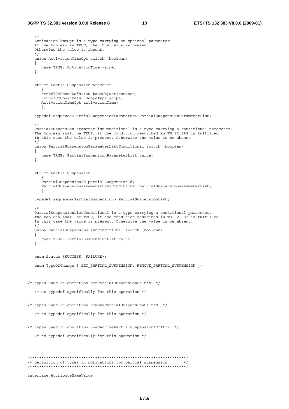```
 /* 
    ActivationTimeOpt is a type carrying an optional parameter. 
    If the boolean is TRUE, then the value is present. 
    Otherwise the value is absent. 
    */ 
    union ActivationTimeOpt switch (boolean) 
    { 
      case TRUE: ActivationTime value; 
    }; 
    struct PartialSuspensionParameter 
\left\{ \begin{array}{ccc} 1 & 1 \\ 1 & 1 \end{array} \right\} KernelCmConstDefs::DN baseObjectInstance; 
       KernelCmConstDefs::ScopeType scope; 
       ActivationTimeOpt activationTime; 
       }; 
    typedef sequence<PartialSuspensionParameter> PartialSuspensionParameterList; 
    /* 
    PartialSuspensionParameterListConditional is a type carrying a conditional parameter. 
    The boolean shall be TRUE, if the condition described in TS 32.382 is fulfilled. 
    In this case the value is present. Otherwise the value is be absent. 
    */ 
   union PartialSuspensionParameterListConditional switch (boolean) 
    { 
      case TRUE: PartialSuspensionParameterList value; 
    }; 
    struct PartialSuspension 
      \left\{ \right. PartialSuspensionId partialSuspensionId; 
       PartialSuspensionParameterListConditional partialSuspensionParameterList; 
       }; 
    typedef sequence<PartialSuspension> PartialSuspensionList; 
    /* 
    PartialSuspensionListConditional is a type carrying a conditional parameter. 
    The boolean shall be TRUE, if the condition described in TS 32.382 is fulfilled. 
    In this case the value is present. Otherwise the value is be absent. 
    */ 
   union PartialSuspensionListConditional switch (boolean) 
    { 
       case TRUE: PartialSuspensionList value; 
    }; 
    enum Status {SUCCESS, FAILURE}; 
   enum TypeOfChange { SET PARTIAL SUSPENSION, REMOVE PARTIAL SUSPENSION };
/* types used in operation setPartialSuspensionOfItfN: */ 
    /* no typedef specifically for this operation */ 
/* types used in operation removePartialSuspensionOfItfN: */ 
    /* no typedef specifically for this operation */ 
/* types used in operation readActivePartialSuspensionsOfItfN: */ 
    /* no typedef specifically for this operation */ 
/*******************************************************************/ 
/* definition of types in nofications for partial suspension :: */ 
/*******************************************************************/ 
interface AttributeNameValue
```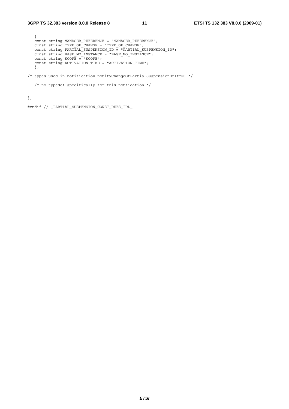```
 { 
   const string MANAGER_REFERENCE = "MANAGER_REFERENCE"; 
const string TYPE OF CHANGE = "TYPE OF CHANGE";
 const string PARTIAL_SUSPENSION_ID = "PARTIAL_SUSPENSION_ID"; 
 const string BASE_MO_INSTANCE = "BASE_MO_INSTANCE"; 
 const string SCOPE = "SCOPE"; 
  const string ACTIVATION TIME = "ACTIVATION TIME";
   }; 
/* types used in notification notifyChangeOfPartialSuspensionOfItfN: */
```

```
\prime\star no typedef specifically for this notfication \star/
```
};

#endif // \_PARTIAL\_SUSPENSION\_CONST\_DEFS\_IDL\_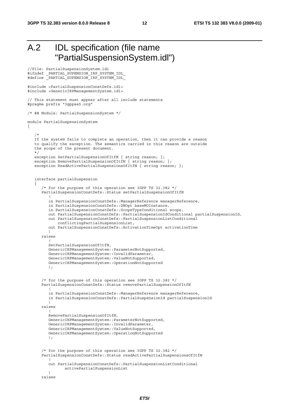# A.2 IDL specification (file name "PartialSuspensionSystem.idl")

```
//File: PartialSuspensionSystem.idl 
#ifndef _PARTIAL_SUPENSION_IRP_SYSTEM_IDL_ 
#define _PARTIAL_SUPENSION_IRP_SYSTEM_IDL_ 
#include <PartialSuspensionConstDefs.idl> 
#include <GenericIRPManagementSystem.idl> 
// This statement must appear after all include statements 
#pragma prefix "3gppsa5.org" 
/* ## Module: PartialSuspensionSystem */ 
module PartialSuspensionSystem 
{ 
    /* 
    If the system fails to complete an operation, then it can provide a reason 
    to qualify the exception. The semantics carried in this reason are outside 
    the scope of the present document. 
    */ 
   exception SetPartialSuspensionOfItfN { string reason; };
   exception RemovePartialSuspensionOfItfN { string reason; };
   exception ReadActivePartialSuspensionsOfItfN { string reason; };
    interface partialSuspension 
\{ /* for the purpose of this operation see 3GPP TS 32.382 */ 
       PartialSuspensionConstDefs::Status setPartialSuspensionOfItfN 
\overline{a} in PartialSuspensionConstDefs::ManagerReference managerReference, 
          in PartialSuspensionConstDefs::DNOpt baseMOInstance, 
          in PartialSuspensionConstDefs::ScopeTypeConditional scope, 
          out PartialSuspensionConstDefs::PartialSuspensionIdConditional partialSuspensionId, 
          out PartialSuspensionConstDefs::PartialSuspensionListConditional 
              conflictingPartialSuspensionList, 
          out PartialSuspensionConstDefs::ActivationTimeOpt activationTime 
          ) 
       raises 
\overline{a} SetPartialSuspensionOfItfN, 
          GenericIRPManagementSystem::ParameterNotSupported, 
          GenericIRPManagementSystem::InvalidParameter, 
          GenericIRPManagementSystem::ValueNotSupported, 
          GenericIRPManagementSystem::OperationNotSupported 
          ); 
       /* for the purpose of this operation see 3GPP TS 32.382 */ 
       PartialSuspensionConstDefs::Status removePartialSuspensionOfItfN 
\overline{a} in PartialSuspensionConstDefs::ManagerReference managerReference, 
          in PartialSuspensionConstDefs::PartialSuspensionId partialSuspensionId 
 ) 
       raises 
\overline{a} RemovePartialSuspensionOfItfN, 
          GenericIRPManagementSystem::ParameterNotSupported, 
          GenericIRPManagementSystem::InvalidParameter, 
          GenericIRPManagementSystem::ValueNotSupported, 
          GenericIRPManagementSystem::OperationNotSupported 
          ); 
       /* for the purpose of this operation see 3GPP TS 32.382 */ 
       PartialSuspensionConstDefs::Status readActivePartialSuspensionsOfItfN 
\overline{a} out PartialSuspensionConstDefs::PartialSuspensionListConditional 
                 activePartialPuspensionList 
 ) 
       raises
```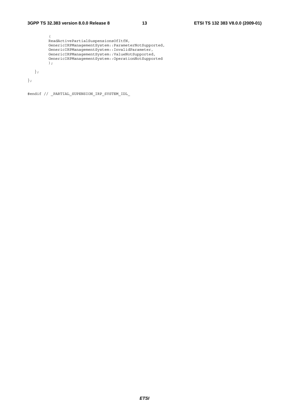```
 ( 
         ReadActivePartialSuspensionsOfItfN, 
 GenericIRPManagementSystem::ParameterNotSupported, 
 GenericIRPManagementSystem::InvalidParameter, 
 GenericIRPManagementSystem::ValueNotSupported, 
         GenericIRPManagementSystem::OperationNotSupported 
         ); 
   };
```
};

#endif // \_PARTIAL\_SUPENSION\_IRP\_SYSTEM\_IDL\_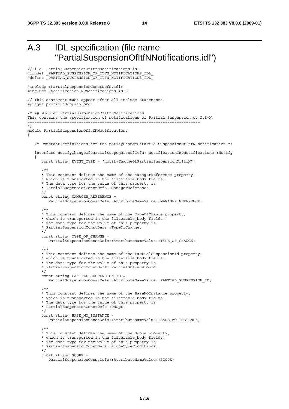```
A.3 IDL specification (file name 
            "PartialSuspensionOfItfNNotifications.idl") 
//File: PartialSuspensionOfItfNNotifications.idl 
#ifndef _PARTIAL_SUSPENSION_OF_ITFN_NOTIFICATIONS_IDL_ 
#define _PARTIAL_SUSPENSION_OF_ITFN_NOTIFICATIONS_IDL_ 
#include <PartialSuspensionConstDefs.idl> 
#include <NotificationIRPNotifications.idl> 
// This statement must appear after all include statements 
#pragma prefix "3gppsa5.org" 
/* ## Module: PartialSuspensionOfItfNNotifications 
This contains the specification of notifications of Partial Suspension of Itf-N. 
========================================================================== 
*/ 
module PartialSuspensionOfItfNNotifications 
{ 
    /* Constant definitions for the notifyChangeOfPartialSuspensionOfItfN notification */ 
    interface notifyChangeOfPartialSuspensionOfItfN: NotificationIRPNotifications::Notify 
\{const string EVENT TYPE = "notifyChangeOfPartialSuspensionOfItfN";
 /** 
       * This constant defines the name of the ManagerReference property, 
      * which is transported in the filterable body fields.
      * The data type for the value of this property is
       * PartialSuspensionConstDefs::ManagerReference. 
       */ 
      const string MANAGER REFERENCE =
          PartialSuspensionConstDefs::AttributeNameValue::MANAGER_REFERENCE; 
       /** 
       * This constant defines the name of the TypeOfChange property, 
       * which is transported in the filterable_body fields. 
       * The data type for the value of this property is 
       * PartialSuspensionConstDefs::TypeOfChange. 
       */ 
      const string TYPE OF CHANGE =
          PartialSuspensionConstDefs::AttributeNameValue::TYPE_OF_CHANGE; 
       /** 
       * This constant defines the name of the PartialSuspensionId property, 
      * which is transported in the filterable body fields.
       * The data type for the value of this property is 
       * PartialSuspensionConstDefs::PartialSuspensionId. 
       */ 
      const string PARTIAL SUSPENSION ID =
         PartialSuspensionConstDefs::AttributeNameValue::PARTIAL_SUSPENSION_ID;
 /** 
       * This constant defines the name of the BaseMOInstance property, 
       * which is transported in the filterable_body fields. 
       * The data type for the value of this property is 
       * PartialSuspensionConstDefs::DNOpt. 
       */ 
       const string BASE_MO_INSTANCE = 
          PartialSuspensionConstDefs::AttributeNameValue::BASE_MO_INSTANCE; 
       /** 
       * This constant defines the name of the Scope property, 
       * which is transported in the filterable_body fields. 
       * The data type for the value of this property is 
       * PartialSuspensionConstDefs::ScopeTypeConditional. 
       */ 
       const string SCOPE = 
          PartialSuspensionConstDefs::AttributeNameValue::SCOPE;
```
*ETSI*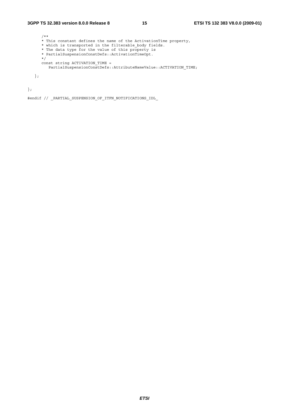### **3GPP TS 32.383 version 8.0.0 Release 8 15 ETSI TS 132 383 V8.0.0 (2009-01)**

```
 /** 
 * This constant defines the name of the ActivationTime property, 
 * which is transported in the filterable_body fields. 
 * The data type for the value of this property is 
 * PartialSuspensionConstDefs::ActivationTimeOpt. 
      */ 
 const string ACTIVATION_TIME = 
 PartialSuspensionConstDefs::AttributeNameValue::ACTIVATION_TIME; 
   };
```
};

#endif // \_PARTIAL\_SUSPENSION\_OF\_ITFN\_NOTIFICATIONS\_IDL\_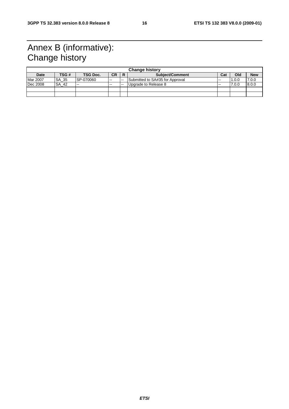# Annex B (informative): Change history

| <b>Change history</b> |       |           |           |    |                                 |               |       |            |
|-----------------------|-------|-----------|-----------|----|---------------------------------|---------------|-------|------------|
| <b>Date</b>           | TSG # | TSG Doc.  | <b>CR</b> |    | <b>Subject/Comment</b>          | Cat           | Old   | <b>New</b> |
| <b>Mar 2007</b>       | SA 35 | SP-070060 | $\sim$    | -- | Submitted to SA#35 for Approval | $\sim$ $\sim$ | 1.0.0 | 7.0.0      |
| Dec 2008              | SA 42 | $- -$     | $- -$     | -- | Upgrade to Release 8            | $- -$         | 7.0.0 | 8.0.0      |
|                       |       |           |           |    |                                 |               |       |            |
|                       |       |           |           |    |                                 |               |       |            |